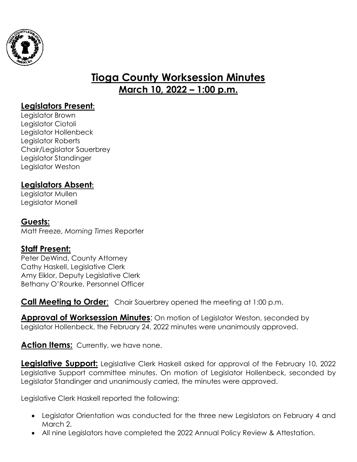

# **Tioga County Worksession Minutes March 10, 2022 – 1:00 p.m.**

# **Legislators Present:**

Legislator Brown Legislator Ciotoli Legislator Hollenbeck Legislator Roberts Chair/Legislator Sauerbrey Legislator Standinger Legislator Weston

# **Legislators Absent:**

Legislator Mullen Legislator Monell

### **Guests:**

Matt Freeze, *Morning Times* Reporter

### **Staff Present:**

Peter DeWind, County Attorney Cathy Haskell, Legislative Clerk Amy Eiklor, Deputy Legislative Clerk Bethany O'Rourke, Personnel Officer

**Call Meeting to Order:** Chair Sauerbrey opened the meeting at 1:00 p.m.

**Approval of Worksession Minutes**: On motion of Legislator Weston, seconded by Legislator Hollenbeck, the February 24, 2022 minutes were unanimously approved.

### **Action Items:** Currently, we have none.

**Legislative Support:** Legislative Clerk Haskell asked for approval of the February 10, 2022 Legislative Support committee minutes. On motion of Legislator Hollenbeck, seconded by Legislator Standinger and unanimously carried, the minutes were approved.

Legislative Clerk Haskell reported the following:

- Legislator Orientation was conducted for the three new Legislators on February 4 and March 2.
- All nine Legislators have completed the 2022 Annual Policy Review & Attestation.